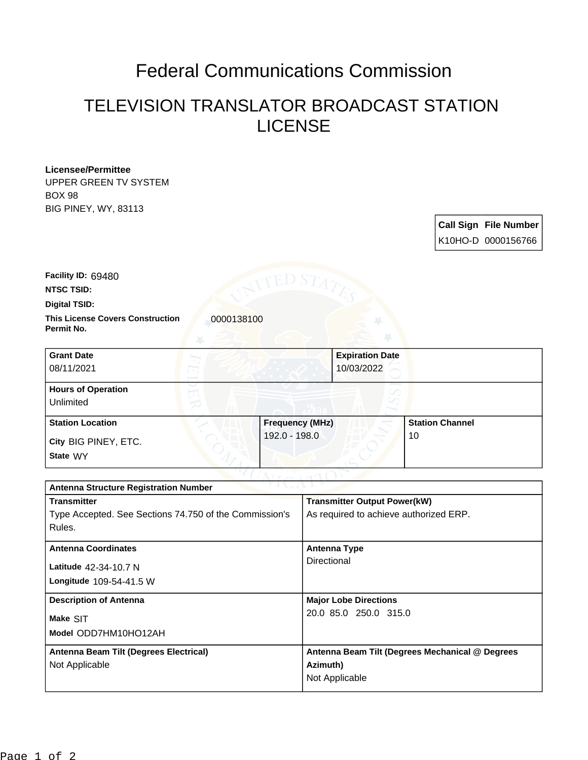## Federal Communications Commission

## TELEVISION TRANSLATOR BROADCAST STATION LICENSE

| Licensee/Permittee          |  |  |
|-----------------------------|--|--|
| UPPER GREEN TV SYSTEM       |  |  |
| <b>BOX 98</b>               |  |  |
| <b>BIG PINEY, WY, 83113</b> |  |  |

**Call Sign File Number** K10HO-D 0000156766

**Facility ID:** 69480

**NTSC TSID:**

**Digital TSID:**

**This License Covers Construction 10000138100 Permit No.**

**State** WY **City** BIG PINEY, ETC. **Grant Date** 08/11/2021 **Expiration Date** 10/03/2022 **Hours of Operation** Unlimited **Station Location Figure 1.1 Construction Frequency (MHz)** 192.0 - 198.0 **Station Channel** 10

| つりまし ハーレン<br><b>Antenna Structure Registration Number</b> |                                                 |  |  |
|-----------------------------------------------------------|-------------------------------------------------|--|--|
| <b>Transmitter</b>                                        | <b>Transmitter Output Power(kW)</b>             |  |  |
| Type Accepted. See Sections 74.750 of the Commission's    | As required to achieve authorized ERP.          |  |  |
| Rules.                                                    |                                                 |  |  |
| <b>Antenna Coordinates</b>                                | <b>Antenna Type</b>                             |  |  |
|                                                           | Directional                                     |  |  |
| Latitude 42-34-10.7 N                                     |                                                 |  |  |
| <b>Longitude</b> $109-54-41.5 W$                          |                                                 |  |  |
| <b>Description of Antenna</b>                             | <b>Major Lobe Directions</b>                    |  |  |
| Make SIT                                                  | 20.0 85.0 250.0 315.0                           |  |  |
| Model ODD7HM10HO12AH                                      |                                                 |  |  |
|                                                           |                                                 |  |  |
| Antenna Beam Tilt (Degrees Electrical)                    | Antenna Beam Tilt (Degrees Mechanical @ Degrees |  |  |
| Not Applicable                                            | Azimuth)                                        |  |  |
|                                                           | Not Applicable                                  |  |  |
|                                                           |                                                 |  |  |